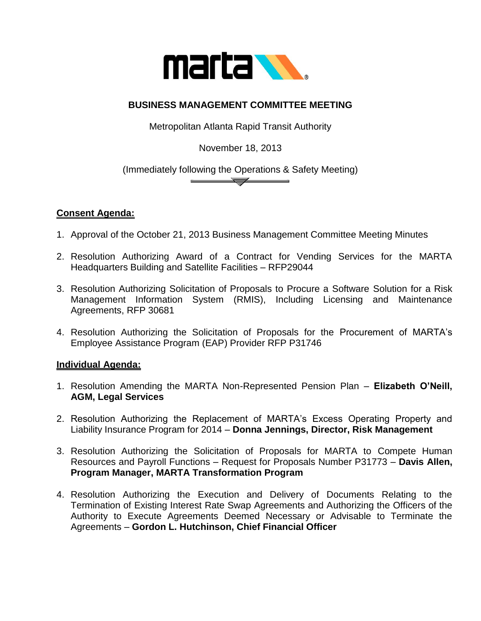

## **BUSINESS MANAGEMENT COMMITTEE MEETING**

Metropolitan Atlanta Rapid Transit Authority

November 18, 2013

(Immediately following the Operations & Safety Meeting)  $\sqrt{ }$ 

## **Consent Agenda:**

- 1. Approval of the October 21, 2013 Business Management Committee Meeting Minutes
- 2. Resolution Authorizing Award of a Contract for Vending Services for the MARTA Headquarters Building and Satellite Facilities – RFP29044
- 3. Resolution Authorizing Solicitation of Proposals to Procure a Software Solution for a Risk Management Information System (RMIS), Including Licensing and Maintenance Agreements, RFP 30681
- 4. Resolution Authorizing the Solicitation of Proposals for the Procurement of MARTA's Employee Assistance Program (EAP) Provider RFP P31746

## **Individual Agenda:**

- 1. Resolution Amending the MARTA Non-Represented Pension Plan **Elizabeth O'Neill, AGM, Legal Services**
- 2. Resolution Authorizing the Replacement of MARTA's Excess Operating Property and Liability Insurance Program for 2014 – **Donna Jennings, Director, Risk Management**
- 3. Resolution Authorizing the Solicitation of Proposals for MARTA to Compete Human Resources and Payroll Functions – Request for Proposals Number P31773 – **Davis Allen, Program Manager, MARTA Transformation Program**
- 4. Resolution Authorizing the Execution and Delivery of Documents Relating to the Termination of Existing Interest Rate Swap Agreements and Authorizing the Officers of the Authority to Execute Agreements Deemed Necessary or Advisable to Terminate the Agreements – **Gordon L. Hutchinson, Chief Financial Officer**